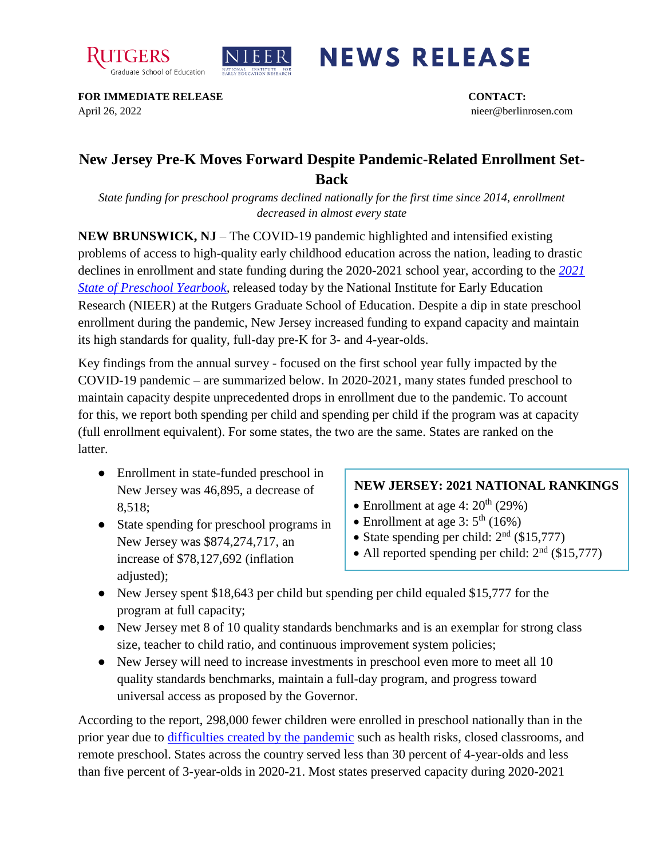



## **NEWS RELEASE**

**FOR IMMEDIATE RELEASE CONTACT:**  April 26, 2022 nieer@berlinrosen.com

## **New Jersey Pre-K Moves Forward Despite Pandemic-Related Enrollment Set-Back**

*State funding for preschool programs declined nationally for the first time since 2014, enrollment decreased in almost every state*

**NEW BRUNSWICK, NJ** – The COVID-19 pandemic highlighted and intensified existing problems of access to high-quality early childhood education across the nation, leading to drastic declines in enrollment and state funding during the 2020-2021 school year, according to the *[2021](https://nieer.org/state-preschool-yearbooks-yearbook2021)  [State of Preschool Yearbook,](https://nieer.org/state-preschool-yearbooks-yearbook2021)* released today by the National Institute for Early Education Research (NIEER) at the Rutgers Graduate School of Education. Despite a dip in state preschool enrollment during the pandemic, New Jersey increased funding to expand capacity and maintain its high standards for quality, full-day pre-K for 3- and 4-year-olds.

Key findings from the annual survey - focused on the first school year fully impacted by the COVID-19 pandemic – are summarized below. In 2020-2021, many states funded preschool to maintain capacity despite unprecedented drops in enrollment due to the pandemic. To account for this, we report both spending per child and spending per child if the program was at capacity (full enrollment equivalent). For some states, the two are the same. States are ranked on the latter.

- Enrollment in state-funded preschool in New Jersey was 46,895, a decrease of 8,518;
- State spending for preschool programs in New Jersey was \$874,274,717, an increase of \$78,127,692 (inflation adjusted);

## **NEW JERSEY: 2021 NATIONAL RANKINGS**

- Enrollment at age 4:  $20<sup>th</sup>$  (29%)
- Enrollment at age  $3:5^{\text{th}}$  (16%)
- State spending per child:  $2<sup>nd</sup>$  (\$15,777)
- All reported spending per child:  $2<sup>nd</sup>$  (\$15,777)
- New Jersey spent \$18,643 per child but spending per child equaled \$15,777 for the program at full capacity;
- New Jersey met 8 of 10 quality standards benchmarks and is an exemplar for strong class size, teacher to child ratio, and continuous improvement system policies;
- New Jersey will need to increase investments in preschool even more to meet all 10 quality standards benchmarks, maintain a full-day program, and progress toward universal access as proposed by the Governor.

According to the report, 298,000 fewer children were enrolled in preschool nationally than in the prior year due to [difficulties created by the pandemic](https://nieer.org/wp-content/uploads/2021/02/NIEER_Seven_Impacts_of_the_Pandemic_on_Young_Children_and_their_Parents.pdf) such as health risks, closed classrooms, and remote preschool. States across the country served less than 30 percent of 4-year-olds and less than five percent of 3-year-olds in 2020-21. Most states preserved capacity during 2020-2021